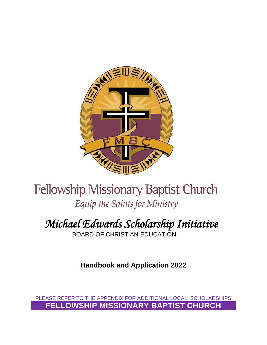

# **Fellowship Missionary Baptist Church** Equip the Saints for Ministry

# *Michael Edwards Scholarship Initiative*

BOARD OF CHRISTIAN EDUCATION

**Handbook and Application 2022**

PLEASE REFER TO THE APPENDIX FOR ADDITIONAL LOCAL SCHOLARSHIPS **FELLOWSHIP MISSIONARY BAPTIST CHURCH**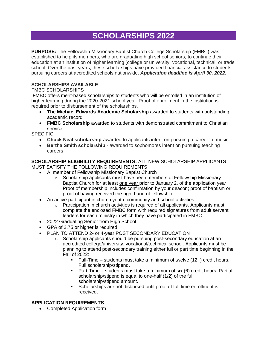## **SCHOLARSHIPS 2022**

**PURPOSE:** The Fellowship Missionary Baptist Church College Scholarship (FMBC) was established to help its members, who are graduating high school seniors, to continue their education at an institution of higher learning (college or university, vocational, technical, or trade school. Over the past years, these scholarships have provided financial assistance to students pursuing careers at accredited schools nationwide. *Application deadline is April 30, 2022.*

### **SCHOLARSHIPS AVAILABLE**:

#### FMBC SCHOLARSHIPS

FMBC offers merit-based scholarships to students who will be enrolled in an institution of higher learning during the 2020-2021 school year. Proof of enrollment in the institution is required prior to disbursement of the scholarships.

- **The Michael Edwards Academic Scholarship** awarded to students with outstanding academic record
- **FMBC Scholarship** awarded to students with demonstrated commitment to Christian service

SPECIFIC

- **Chuck Neal scholarship**-awarded to applicants intent on pursuing a career in music
- **Bertha Smith scholarship** awarded to sophomores intent on pursuing teaching careers

**SCHOLARSHIP ELIGIBILITY REQUIREMENTS:** ALL NEW SCHOLARSHIP APPLICANTS MUST SATISFY THE FOLLOWING REQUIREMENTS

- A member of Fellowship Missionary Baptist Church
	- o Scholarship applicants must have been members of Fellowship Missionary Baptist Church for at least one year prior to January 2, of the application year. Proof of membership includes confirmation by your deacon; proof of baptism or proof of having received the right hand of fellowship.
- An active participant in church youth, community and school activities
	- $\circ$  Participation in church activities is required of all applicants. Applicants must complete the enclosed FMBC form with required signatures from adult servant leaders for each ministry in which they have participated in FMBC.
- 2022 Graduating Senior from High School
- GPA of 2.75 or higher is required
- PLAN TO ATTEND 2- or 4-year POST SECONDARY EDUCATION
	- $\circ$  Scholarship applicants should be pursuing post-secondary education at an accredited college/university, vocational/technical school. Applicants must be planning to attend post-secondary training either full or part time beginning in the Fall of 2022:
		- Full-Time students must take a minimum of twelve (12+) credit hours. Full scholarship/stipend.
		- Part-Time students must take a minimum of six (6) credit hours. Partial scholarship/stipend is equal to one-half (1/2) of the full scholarship/stipend amount**.**
		- Scholarships are not disbursed until proof of full time enrollment is received.

### **APPLICATION REQUIREMENTS**

• Completed Application form